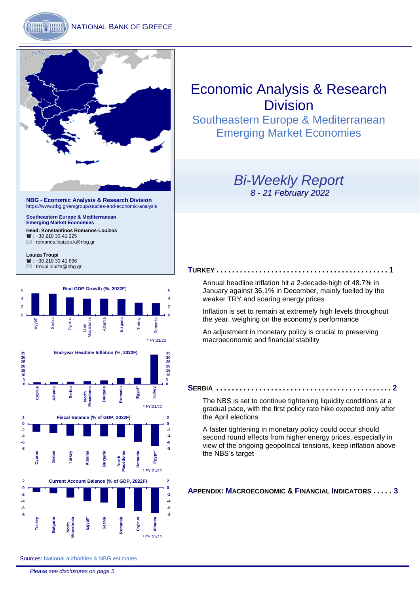

**NBG - Economic Analysis & Research Division** <https://www.nbg.gr/en/group/studies-and-economic-analysis>

**Southeastern Europe & Mediterranean Emerging Market Economies**

**Head: Konstantinos Romanos-Louizos**  $\mathbf{R}$ : +30 210 33 41 225 [: romanos.louizos.k@nbg.gr](mailto:romanos.louizos.k@nbg.gr)

**Louiza Troupi**  : +30 210 33 41 696 [: troupi.louiza@nbg.gr](mailto:troupi.louiza@nbg.gr)



# Economic Analysis & Research Division

Southeastern Europe & Mediterranean Emerging Market Economies

### *Bi-Weekly Report 8 - 21 February 2022*

#### **T[URKEY](#page-1-0) . . . . . . . . . . . . . . . . . . . . . . . . . . . . . . . . . . . . . . . . . . . . 1**

[Annual headline inflation hit a 2-decade-high of 48.7% in](#page-1-0)  [January against 36.1% in December, mainly fuelled by the](#page-1-0)  weaker TRY [and soaring energy prices](#page-1-0)

[Inflation is set to remain at extremely high](#page-1-0) levels throughout the year, weighing on [the economy's performance](#page-1-0)

[An adjustment in monetary policy is crucial to preserving](#page-1-0)  [macroeconomic and financial stability](#page-1-0)

#### **S[ERBIA](#page-2-0) . . . . . . . . . . . . . . . . . . . . . . . . . . . . . . . . . . . . . . . . . . . . . 2**

[The NBS is set to continue tightening liquidity conditions](#page-2-0) at a [gradual pace, with the first policy rate hike expected only after](#page-2-0)  [the April elections](#page-2-0)

A faster tightening in monetary policy [could occur should](#page-2-0)  [second round effects](#page-2-0) from higher energy prices, especially in [view of the ongoing geopolitical tensions, keep inflation above](#page-2-0)  [the NBS's target](#page-2-0)

### **APPENDIX: M[ACROECONOMIC](#page-3-0) & FINANCIAL INDICATORS . . . . . 3**

Sources: National authorities & NBG estimates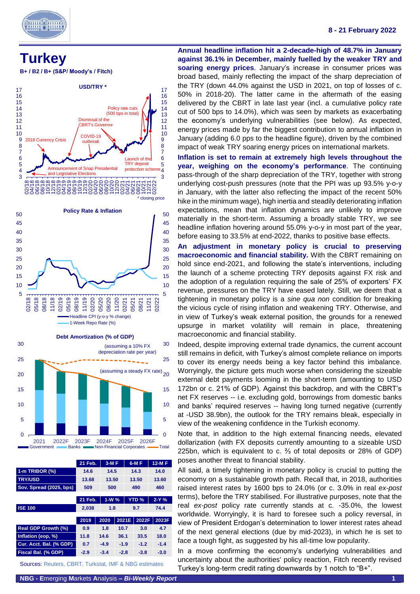

#### **8 - 21 February 2022**

<span id="page-1-0"></span>

**B+ / B2 / B+ (S&P/ Moody's / Fitch)**



|  | $\overline{0}$ $\overline{0}$ $\overline{0}$ $\overline{0}$ $\overline{0}$ $\overline{0}$ $\overline{0}$ $\overline{0}$ $\overline{0}$ $\overline{0}$ $\overline{0}$ $\overline{0}$ $\overline{0}$ $\overline{0}$ $\overline{0}$ $\overline{0}$ $\overline{0}$ $\overline{0}$ $\overline{0}$ $\overline{0}$ $\overline{0}$ $\overline{0}$ $\overline{0}$ $\overline{0}$ $\overline{$ |  |                                                                           |  | $\blacksquare$ $\blacksquare$ $\blacksquare$ $\blacksquare$ $\blacksquare$ |  |  |
|--|--------------------------------------------------------------------------------------------------------------------------------------------------------------------------------------------------------------------------------------------------------------------------------------------------------------------------------------------------------------------------------------|--|---------------------------------------------------------------------------|--|----------------------------------------------------------------------------|--|--|
|  |                                                                                                                                                                                                                                                                                                                                                                                      |  | 2021 2022F 2023F 2024F 2025F 2026F                                        |  |                                                                            |  |  |
|  |                                                                                                                                                                                                                                                                                                                                                                                      |  | Government Banks <b>Example 7</b> Non-Financial Corporates <b>- Total</b> |  |                                                                            |  |  |

|                            | 21 Feb. |     | $3-MF$ |        | 6-M F        |        | <b>12-MF</b> |        |  |
|----------------------------|---------|-----|--------|--------|--------------|--------|--------------|--------|--|
| 1-m TRIBOR (%)             | 14.6    |     | 14.5   |        |              | 14.3   | 14.0         |        |  |
| <b>TRY/USD</b>             | 13.68   |     | 13.50  |        |              | 13.50  | 13.60        |        |  |
| Sov. Spread (2025, bps)    | 509     |     | 500    |        | 490          |        |              | 460    |  |
|                            |         |     |        |        |              |        |              |        |  |
|                            | 21 Feb. |     | $1-W%$ |        | <b>YTD %</b> |        | $2-Y%$       |        |  |
| <b>ISE 100</b>             | 2,038   | 1.8 |        |        |              | 9.7    |              | 74.4   |  |
|                            |         |     |        |        |              |        |              |        |  |
|                            | 2019    |     | 2020   | 2021E  |              | 2022F  |              | 2023F  |  |
| <b>Real GDP Growth (%)</b> | 0.9     |     | 1.8    | 10.7   |              | 3.0    |              | 4.7    |  |
| Inflation (eop, %)         | 11.8    |     | 14.6   | 36.1   |              | 33.5   |              | 18.0   |  |
| Cur. Acct. Bal. (% GDP)    | 0.7     |     | $-4.9$ | $-1.9$ |              | $-1.2$ |              | $-1.4$ |  |
| Fiscal Bal. (% GDP)        | $-2.9$  |     | $-3.4$ | $-2.8$ |              | $-3.8$ |              | $-3.0$ |  |
|                            |         |     |        |        |              |        |              |        |  |

Sources: Reuters, CBRT, Turkstat, IMF & NBG estimates

**Annual headline inflation hit a 2-decade-high of 48.7% in January against 36.1% in December, mainly fuelled by the weaker TRY and soaring energy prices**. January's increase in consumer prices was broad based, mainly reflecting the impact of the sharp depreciation of the TRY (down 44.0% against the USD in 2021, on top of losses of c. 50% in 2018-20). The latter came in the aftermath of the easing delivered by the CBRT in late last year (incl. a cumulative policy rate cut of 500 bps to 14.0%), which was seen by markets as exacerbating the economy's underlying vulnerabilities (see below). As expected, energy prices made by far the biggest contribution to annual inflation in January (adding 6.0 pps to the headline figure), driven by the combined impact of weak TRY soaring energy prices on international markets.

**Inflation is set to remain at extremely high levels throughout the year, weighing on the economy's performance**. The continuing pass-through of the sharp depreciation of the TRY, together with strong underlying cost-push pressures (note that the PPI was up 93.5% y-o-y in January, with the latter also reflecting the impact of the recent 50% hike in the minimum wage), high inertia and steadily deteriorating inflation expectations, mean that inflation dynamics are unlikely to improve materially in the short-term. Assuming a broadly stable TRY, we see headline inflation hovering around 55.0% y-o-y in most part of the year, before easing to 33.5% at end-2022, thanks to positive base effects.

**An adjustment in monetary policy is crucial to preserving macroeconomic and financial stability.** With the CBRT remaining on hold since end-2021, and following the state's interventions, including the launch of a scheme protecting TRY deposits against FX risk and the adoption of a regulation requiring the sale of 25% of exporters' FX revenue, pressures on the TRY have eased lately. Still, we deem that a tightening in monetary policy is a *sine qua non* condition for breaking the vicious cycle of rising inflation and weakening TRY. Otherwise, and in view of Turkey's weak external position, the grounds for a renewed upsurge in market volatility will remain in place, threatening macroeconomic and financial stability.

Indeed, despite improving external trade dynamics, the current account still remains in deficit, with Turkey's almost complete reliance on imports to cover its energy needs being a key factor behind this imbalance. Worryingly, the picture gets much worse when considering the sizeable external debt payments looming in the short-term (amounting to USD 172bn or c. 21% of GDP). Against this backdrop, and with the CBRT's net FX reserves -- i.e. excluding gold, borrowings from domestic banks and banks' required reserves -- having long turned negative (currently at -USD 38.9bn), the outlook for the TRY remains bleak, especially in view of the weakening confidence in the Turkish economy.

Note that, in addition to the high external financing needs, elevated dollarization (with FX deposits currently amounting to a sizeable USD 225bn, which is equivalent to c. ⅔ of total deposits or 28% of GDP) poses another threat to financial stability.

All said, a timely tightening in monetary policy is crucial to putting the economy on a sustainable growth path. Recall that, in 2018, authorities raised interest rates by 1600 bps to 24.0% (or c. 3.0% in real *ex-post* terms), before the TRY stabilised. For illustrative purposes, note that the real *ex-post* policy rate currently stands at c. -35.0%, the lowest worldwide. Worryingly, it is hard to foresee such a policy reversal, in view of President Erdogan's determination to lower interest rates ahead of the next general elections (due by mid-2023), in which he is set to face a tough fight, as suggested by his all-time low popularity.

In a move confirming the economy's underlying vulnerabilities and uncertainty about the authorities' policy reaction, Fitch recently revised Turkey's long-term credit rating downwards by 1 notch to "B+".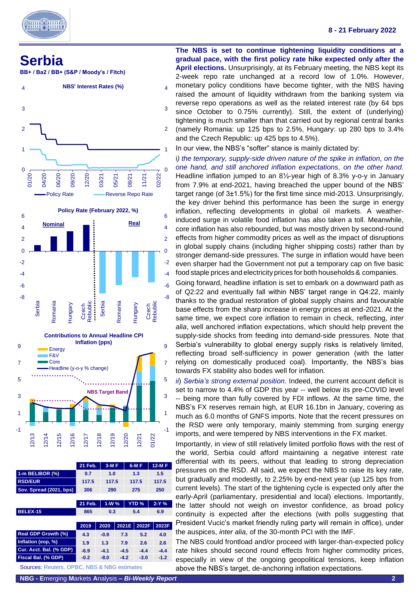

## <span id="page-2-0"></span>**Serbia**

**BB+ / Ba2 / BB+ (S&P / Moody's / Fitch)**



-1 -1 12/13 12/14 12/15 12/16 12/17 12/18 12/19 12/20 12/21 01/22 **21 Feb. 3-M F 6-M F 12-M F 1-m BELIBOR (%) 0.7 1.0 1.3 1.5 RSD/EUR 117.5 117.5 117.5 117.5 Sov. Spread (2021, bps) 306 290 275 250 21 Feb. 1-W % YTD % 2-Y % BELEX-15 865 0.3 5.4 6.9 2019 2020 2021E 2022F 2023F Real GDP Growth (%) 4.3 -0.9 7.3 5.2 4.0 Inflation (eop, %) 1.9 1.3 7.9 2.6 2.6 Cur. Acct. Bal. (% GDP) -6.9 -4.1 -4.5 -4.4 -4.4 Fiscal Bal. (% GDP) -0.2 -8.0 -4.2 -3.0 -1.2** Sources: Reuters, OPBC, NBS & NBG estimates

**NBS Target Band**

1

3

1

3

**The NBS is set to continue tightening liquidity conditions at a gradual pace, with the first policy rate hike expected only after the April elections.** Unsurprisingly, at its February meeting, the NBS kept its 2-week repo rate unchanged at a record low of 1.0%. However,

- monetary policy conditions have become tighter, with the NBS having raised the amount of liquidity withdrawn from the banking system via reverse repo operations as well as the related interest rate (by 64 bps
- since October to 0.75% currently). Still, the extent of (underlying) tightening is much smaller than that carried out by regional central banks (namely Romania: up 125 bps to 2.5%, Hungary: up 280 bps to 3.4%
- and the Czech Republic: up 425 bps to 4.5%).
	- In our view, the NBS's "softer" stance is mainly dictated by:

i*) the temporary, supply-side driven nature of the spike in inflation, on the one hand, and still anchored inflation expectations, on the other hand.*  Headline inflation jumped to an 8½-year high of 8.3% y-o-y in January from 7.9% at end-2021, having breached the upper bound of the NBS' target range (of 3±1.5%) for the first time since mid-2013. Unsurprisingly, the key driver behind this performance has been the surge in energy inflation, reflecting developments in global oil markets. A weatherinduced surge in volatile food inflation has also taken a toll. Meanwhile, core inflation has also rebounded, but was mostly driven by second-round effects from higher commodity prices as well as the impact of disruptions in global supply chains (including higher shipping costs) rather than by stronger demand-side pressures. The surge in inflation would have been even sharper had the Government not put a temporary cap on five basic food staple prices and electricity prices for both households & companies.

Going forward, headline inflation is set to embark on a downward path as of Q2:22 and eventually fall within NBS' target range in Q4:22, mainly thanks to the gradual restoration of global supply chains and favourable base effects from the sharp increase in energy prices at end-2021. At the same time, we expect core inflation to remain in check, reflecting, *inter alia*, well anchored inflation expectations, which should help prevent the supply-side shocks from feeding into demand-side pressures. Note that Serbia's vulnerability to global energy supply risks is relatively limited, reflecting broad self-sufficiency in power generation (with the latter relying on domestically produced coal). Importantly, the NBS's bias towards FX stability also bodes well for inflation.

*ii*) *Serbia's strong external position*. Indeed, the current account deficit is set to narrow to 4.4% of GDP this year -- well below its pre-COVID level -- being more than fully covered by FDI inflows. At the same time, the NBS's FX reserves remain high, at EUR 16.1bn in January, covering as much as 6.0 months of GNFS imports. Note that the recent pressures on the RSD were only temporary, mainly stemming from surging energy imports, and were tempered by NBS interventions in the FX market.

Importantly, in view of still relatively limited portfolio flows with the rest of the world, Serbia could afford maintaining a negative interest rate differential with its peers, without that leading to strong depreciation pressures on the RSD. All said, we expect the NBS to raise its key rate, but gradually and modestly, to 2.25% by end-next year (up 125 bps from current levels). The start of the tightening cycle is expected only after the early-April (parliamentary, presidential and local) elections. Importantly, the latter should not weigh on investor confidence, as broad policy continuity is expected after the elections (with polls suggesting that President Vucic's market friendly ruling party will remain in office), under the auspices, *inter alia*, of the 30-month PCI with the IMF.

The NBS could frontload and/or proceed with larger-than-expected policy rate hikes should second round effects from higher commodity prices, especially in view of the ongoing geopolitical tensions, keep inflation above the NBS's target, de-anchoring inflation expectations.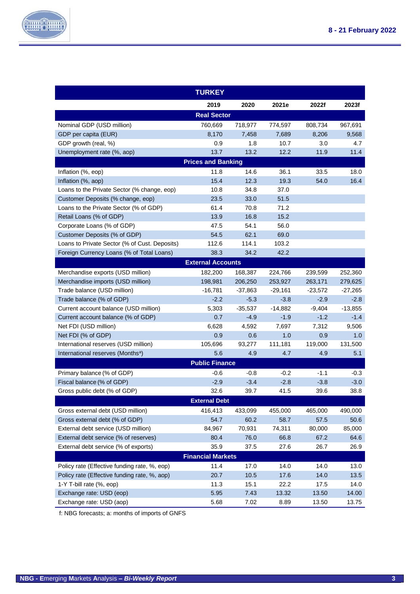

٦

<span id="page-3-0"></span>

|                                               | <b>TURKEY</b>             |           |           |         |           |  |  |  |  |
|-----------------------------------------------|---------------------------|-----------|-----------|---------|-----------|--|--|--|--|
|                                               | 2019                      | 2020      | 2021e     | 2022f   | 2023f     |  |  |  |  |
|                                               | <b>Real Sector</b>        |           |           |         |           |  |  |  |  |
| Nominal GDP (USD million)                     | 760,669                   | 718,977   | 774,597   | 808,734 | 967,691   |  |  |  |  |
| GDP per capita (EUR)                          | 8.170                     | 7,458     | 7,689     | 8,206   | 9,568     |  |  |  |  |
| GDP growth (real, %)                          | 0.9                       | 1.8       | 10.7      | 3.0     | 4.7       |  |  |  |  |
| Unemployment rate (%, aop)                    | 13.7                      | 13.2      | 12.2      | 11.9    | 11.4      |  |  |  |  |
|                                               | <b>Prices and Banking</b> |           |           |         |           |  |  |  |  |
| Inflation (%, eop)                            | 11.8                      | 14.6      | 36.1      | 33.5    | 18.0      |  |  |  |  |
| Inflation (%, aop)                            | 15.4                      | 12.3      | 19.3      | 54.0    | 16.4      |  |  |  |  |
| Loans to the Private Sector (% change, eop)   | 10.8                      | 34.8      | 37.0      |         |           |  |  |  |  |
| Customer Deposits (% change, eop)             | 23.5                      | 33.0      | 51.5      |         |           |  |  |  |  |
| Loans to the Private Sector (% of GDP)        | 61.4                      | 70.8      | 71.2      |         |           |  |  |  |  |
| Retail Loans (% of GDP)                       | 13.9                      | 16.8      | 15.2      |         |           |  |  |  |  |
| Corporate Loans (% of GDP)                    | 47.5                      | 54.1      | 56.0      |         |           |  |  |  |  |
| Customer Deposits (% of GDP)                  | 54.5                      | 62.1      | 69.0      |         |           |  |  |  |  |
| Loans to Private Sector (% of Cust. Deposits) | 112.6                     | 114.1     | 103.2     |         |           |  |  |  |  |
| Foreign Currency Loans (% of Total Loans)     | 38.3                      | 34.2      | 42.2      |         |           |  |  |  |  |
|                                               | <b>External Accounts</b>  |           |           |         |           |  |  |  |  |
| Merchandise exports (USD million)             | 182,200                   | 168,387   | 224,766   | 239,599 | 252,360   |  |  |  |  |
| Merchandise imports (USD million)             | 198,981                   | 206,250   | 253,927   | 263,171 | 279,625   |  |  |  |  |
| Trade balance (USD million)                   | $-16,781$                 | $-37,863$ | $-29,161$ | -23,572 | $-27,265$ |  |  |  |  |
| Trade balance (% of GDP)                      | $-2.2$                    | $-5.3$    | $-3.8$    | $-2.9$  | $-2.8$    |  |  |  |  |
| Current account balance (USD million)         | 5,303                     | $-35,537$ | $-14,882$ | -9,404  | $-13,855$ |  |  |  |  |
| Current account balance (% of GDP)            | 0.7                       | $-4.9$    | $-1.9$    | $-1.2$  | $-1.4$    |  |  |  |  |
| Net FDI (USD million)                         | 6,628                     | 4,592     | 7,697     | 7,312   | 9,506     |  |  |  |  |
| Net FDI (% of GDP)                            | 0.9                       | 0.6       | 1.0       | 0.9     | 1.0       |  |  |  |  |
| International reserves (USD million)          | 105,696                   | 93,277    | 111,181   | 119,000 | 131,500   |  |  |  |  |
| International reserves (Months <sup>a</sup> ) | 5.6                       | 4.9       | 4.7       | 4.9     | 5.1       |  |  |  |  |
|                                               | <b>Public Finance</b>     |           |           |         |           |  |  |  |  |
| Primary balance (% of GDP)                    | $-0.6$                    | $-0.8$    | $-0.2$    | $-1.1$  | $-0.3$    |  |  |  |  |
| Fiscal balance (% of GDP)                     | $-2.9$                    | $-3.4$    | $-2.8$    | $-3.8$  | $-3.0$    |  |  |  |  |
| Gross public debt (% of GDP)                  | 32.6                      | 39.7      | 41.5      | 39.6    | 38.8      |  |  |  |  |
|                                               | <b>External Debt</b>      |           |           |         |           |  |  |  |  |
| Gross external debt (USD million)             | 416,413                   | 433,099   | 455,000   | 465,000 | 490,000   |  |  |  |  |
| Gross external debt (% of GDP)                | 54.7                      | 60.2      | 58.7      | 57.5    | 50.6      |  |  |  |  |
| External debt service (USD million)           | 84,967                    | 70,931    | 74,311    | 80,000  | 85,000    |  |  |  |  |
| External debt service (% of reserves)         | 80.4                      | 76.0      | 66.8      | 67.2    | 64.6      |  |  |  |  |
| External debt service (% of exports)          | 35.9                      | 37.5      | 27.6      | 26.7    | 26.9      |  |  |  |  |
| <b>Financial Markets</b>                      |                           |           |           |         |           |  |  |  |  |
| Policy rate (Effective funding rate, %, eop)  | 11.4                      | 17.0      | 14.0      | 14.0    | 13.0      |  |  |  |  |
| Policy rate (Effective funding rate, %, aop)  | 20.7                      | 10.5      | 17.6      | 14.0    | 13.5      |  |  |  |  |
| 1-Y T-bill rate (%, eop)                      | 11.3                      | 15.1      | 22.2      | 17.5    | 14.0      |  |  |  |  |
| Exchange rate: USD (eop)                      | 5.95                      | 7.43      | 13.32     | 13.50   | 14.00     |  |  |  |  |
| Exchange rate: USD (aop)                      | 5.68                      | 7.02      | 8.89      | 13.50   | 13.75     |  |  |  |  |

f: NBG forecasts; a: months of imports of GNFS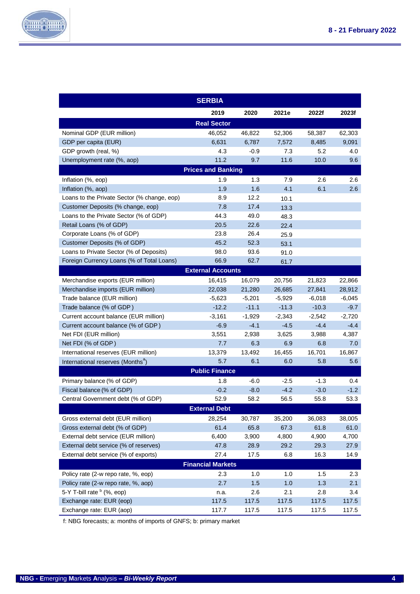

|                                               | <b>SERBIA</b>             |          |          |          |          |
|-----------------------------------------------|---------------------------|----------|----------|----------|----------|
|                                               | 2019                      | 2020     | 2021e    | 2022f    | 2023f    |
|                                               | <b>Real Sector</b>        |          |          |          |          |
| Nominal GDP (EUR million)                     | 46,052                    | 46,822   | 52,306   | 58,387   | 62,303   |
| GDP per capita (EUR)                          | 6,631                     | 6,787    | 7,572    | 8,485    | 9,091    |
| GDP growth (real, %)                          | 4.3                       | $-0.9$   | 7.3      | 5.2      | 4.0      |
| Unemployment rate (%, aop)                    | 11.2                      | 9.7      | 11.6     | 10.0     | 9.6      |
|                                               | <b>Prices and Banking</b> |          |          |          |          |
| Inflation (%, eop)                            | 1.9                       | 1.3      | 7.9      | 2.6      | 2.6      |
| Inflation (%, aop)                            | 1.9                       | 1.6      | 4.1      | 6.1      | 2.6      |
| Loans to the Private Sector (% change, eop)   | 8.9                       | 12.2     | 10.1     |          |          |
| Customer Deposits (% change, eop)             | 7.8                       | 17.4     | 13.3     |          |          |
| Loans to the Private Sector (% of GDP)        | 44.3                      | 49.0     | 48.3     |          |          |
| Retail Loans (% of GDP)                       | 20.5                      | 22.6     | 22.4     |          |          |
| Corporate Loans (% of GDP)                    | 23.8                      | 26.4     | 25.9     |          |          |
| Customer Deposits (% of GDP)                  | 45.2                      | 52.3     | 53.1     |          |          |
| Loans to Private Sector (% of Deposits)       | 98.0                      | 93.6     | 91.0     |          |          |
| Foreign Currency Loans (% of Total Loans)     | 66.9                      | 62.7     | 61.7     |          |          |
|                                               | <b>External Accounts</b>  |          |          |          |          |
| Merchandise exports (EUR million)             | 16,415                    | 16,079   | 20,756   | 21,823   | 22,866   |
| Merchandise imports (EUR million)             | 22.038                    | 21,280   | 26,685   | 27,841   | 28,912   |
| Trade balance (EUR million)                   | $-5,623$                  | $-5,201$ | $-5,929$ | $-6,018$ | $-6,045$ |
| Trade balance (% of GDP)                      | $-12.2$                   | $-11.1$  | $-11.3$  | $-10.3$  | $-9.7$   |
| Current account balance (EUR million)         | $-3,161$                  | $-1,929$ | $-2,343$ | $-2,542$ | $-2,720$ |
| Current account balance (% of GDP)            | $-6.9$                    | $-4.1$   | $-4.5$   | $-4.4$   | $-4.4$   |
| Net FDI (EUR million)                         | 3,551                     | 2,938    | 3,625    | 3,988    | 4,387    |
| Net FDI (% of GDP)                            | 7.7                       | 6.3      | 6.9      | 6.8      | 7.0      |
| International reserves (EUR million)          | 13,379                    | 13,492   | 16,455   | 16,701   | 16,867   |
| International reserves (Months <sup>a</sup> ) | 5.7                       | 6.1      | 6.0      | 5.8      | 5.6      |
|                                               | <b>Public Finance</b>     |          |          |          |          |
| Primary balance (% of GDP)                    | 1.8                       | $-6.0$   | $-2.5$   | $-1.3$   | 0.4      |
| Fiscal balance (% of GDP)                     | $-0.2$                    | $-8.0$   | $-4.2$   | $-3.0$   | $-1.2$   |
| Central Government debt (% of GDP)            | 52.9                      | 58.2     | 56.5     | 55.8     | 53.3     |
|                                               | <b>External Debt</b>      |          |          |          |          |
| Gross external debt (EUR million)             | 28,254                    | 30,787   | 35,200   | 36,083   | 38,005   |
| Gross external debt (% of GDP)                | 61.4                      | 65.8     | 67.3     | 61.8     | 61.0     |
| External debt service (EUR million)           | 6,400                     | 3,900    | 4,800    | 4,900    | 4,700    |
| External debt service (% of reserves)         | 47.8                      | 28.9     | 29.2     | 29.3     | 27.9     |
| External debt service (% of exports)          | 27.4                      | 17.5     | 6.8      | 16.3     | 14.9     |
|                                               | <b>Financial Markets</b>  |          |          |          |          |
| Policy rate (2-w repo rate, %, eop)           | 2.3                       | 1.0      | 1.0      | 1.5      | 2.3      |
| Policy rate (2-w repo rate, %, aop)           | 2.7                       | 1.5      | $1.0$    | $1.3$    | 2.1      |
| 5-Y T-bill rate <sup>b</sup> (%, eop)         | n.a.                      | 2.6      | 2.1      | 2.8      | 3.4      |
| Exchange rate: EUR (eop)                      | 117.5                     | 117.5    | 117.5    | 117.5    | 117.5    |
| Exchange rate: EUR (aop)                      | 117.7                     | 117.5    | 117.5    | 117.5    | 117.5    |

f: NBG forecasts; a: months of imports of GNFS; b: primary market